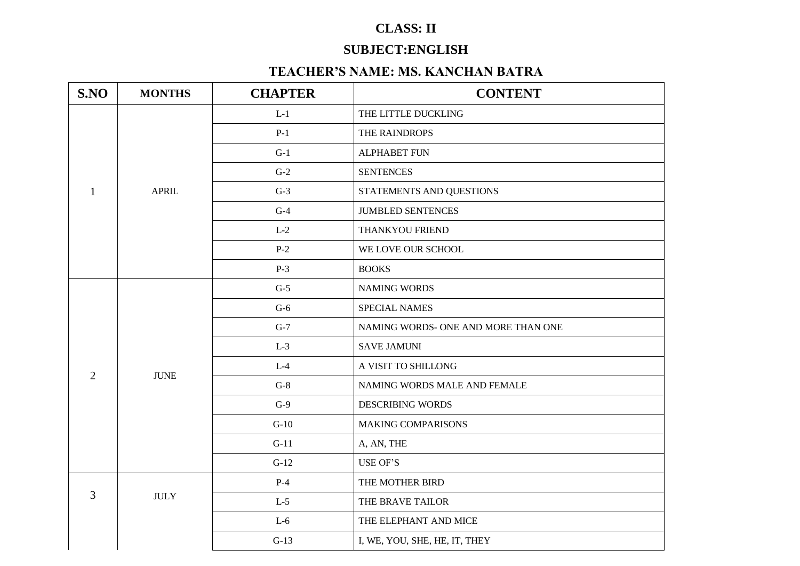## **CLASS: II**

# **SUBJECT:ENGLISH**

## **TEACHER'S NAME: MS. KANCHAN BATRA**

| S.NO           | <b>MONTHS</b>                                                                                                                                                                                                                                                        | <b>CHAPTER</b> | <b>CONTENT</b>                      |
|----------------|----------------------------------------------------------------------------------------------------------------------------------------------------------------------------------------------------------------------------------------------------------------------|----------------|-------------------------------------|
|                |                                                                                                                                                                                                                                                                      | $L-1$          | THE LITTLE DUCKLING                 |
|                | $P-1$<br>$G-1$<br>$G-2$<br><b>APRIL</b><br>$G-3$<br>$G-4$<br>$L-2$<br>$P-2$<br>$P-3$<br><b>BOOKS</b><br>$G-5$<br>$G-6$<br>$G-7$<br>$L-3$<br>$L-4$<br><b>JUNE</b><br>$G-8$<br>$G-9$<br>$G-10$<br>$G-11$<br>$G-12$<br>$P-4$<br><b>JULY</b><br>$L-5$<br>$L-6$<br>$G-13$ | THE RAINDROPS  |                                     |
|                |                                                                                                                                                                                                                                                                      |                | <b>ALPHABET FUN</b>                 |
|                |                                                                                                                                                                                                                                                                      |                | <b>SENTENCES</b>                    |
| $\mathbf{1}$   |                                                                                                                                                                                                                                                                      |                | STATEMENTS AND QUESTIONS            |
|                |                                                                                                                                                                                                                                                                      |                | <b>JUMBLED SENTENCES</b>            |
|                |                                                                                                                                                                                                                                                                      |                | THANKYOU FRIEND                     |
|                |                                                                                                                                                                                                                                                                      |                | WE LOVE OUR SCHOOL                  |
|                |                                                                                                                                                                                                                                                                      |                |                                     |
|                |                                                                                                                                                                                                                                                                      |                | <b>NAMING WORDS</b>                 |
|                |                                                                                                                                                                                                                                                                      |                | SPECIAL NAMES                       |
|                |                                                                                                                                                                                                                                                                      |                | NAMING WORDS- ONE AND MORE THAN ONE |
|                |                                                                                                                                                                                                                                                                      |                | <b>SAVE JAMUNI</b>                  |
| $\overline{2}$ |                                                                                                                                                                                                                                                                      |                | A VISIT TO SHILLONG                 |
|                |                                                                                                                                                                                                                                                                      |                | NAMING WORDS MALE AND FEMALE        |
|                |                                                                                                                                                                                                                                                                      |                | <b>DESCRIBING WORDS</b>             |
|                |                                                                                                                                                                                                                                                                      |                | <b>MAKING COMPARISONS</b>           |
|                |                                                                                                                                                                                                                                                                      |                | A, AN, THE                          |
|                |                                                                                                                                                                                                                                                                      |                | USE OF'S                            |
|                |                                                                                                                                                                                                                                                                      |                | THE MOTHER BIRD                     |
| 3              |                                                                                                                                                                                                                                                                      |                | THE BRAVE TAILOR                    |
|                |                                                                                                                                                                                                                                                                      |                | THE ELEPHANT AND MICE               |
|                |                                                                                                                                                                                                                                                                      |                | I, WE, YOU, SHE, HE, IT, THEY       |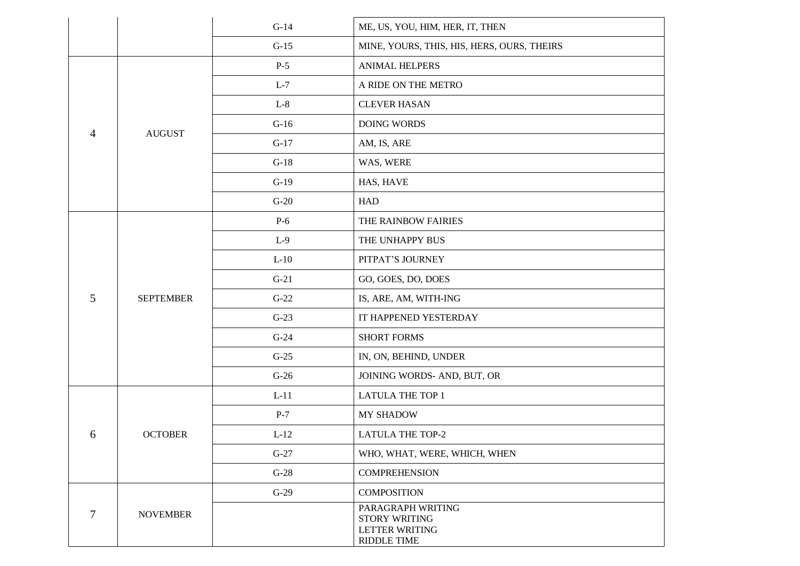|                |                  | $G-14$ | ME, US, YOU, HIM, HER, IT, THEN                                                   |
|----------------|------------------|--------|-----------------------------------------------------------------------------------|
|                |                  | $G-15$ | MINE, YOURS, THIS, HIS, HERS, OURS, THEIRS                                        |
|                |                  | $P-5$  | <b>ANIMAL HELPERS</b>                                                             |
|                |                  | $L-7$  | A RIDE ON THE METRO                                                               |
|                |                  | $L-8$  | <b>CLEVER HASAN</b>                                                               |
| $\overline{4}$ | <b>AUGUST</b>    | $G-16$ | DOING WORDS                                                                       |
|                |                  | $G-17$ | AM, IS, ARE                                                                       |
|                |                  | $G-18$ | WAS, WERE                                                                         |
|                |                  | $G-19$ | HAS, HAVE                                                                         |
|                |                  | $G-20$ | <b>HAD</b>                                                                        |
|                |                  | $P-6$  | THE RAINBOW FAIRIES                                                               |
|                |                  | $L-9$  | THE UNHAPPY BUS                                                                   |
|                |                  | $L-10$ | PITPAT'S JOURNEY                                                                  |
|                |                  | $G-21$ | GO, GOES, DO, DOES                                                                |
| 5              | <b>SEPTEMBER</b> | $G-22$ | IS, ARE, AM, WITH-ING                                                             |
|                |                  | $G-23$ | IT HAPPENED YESTERDAY                                                             |
|                |                  | $G-24$ | <b>SHORT FORMS</b>                                                                |
|                |                  | $G-25$ | IN, ON, BEHIND, UNDER                                                             |
|                |                  | $G-26$ | JOINING WORDS- AND, BUT, OR                                                       |
|                |                  | $L-11$ | <b>LATULA THE TOP 1</b>                                                           |
|                |                  | $P-7$  | MY SHADOW                                                                         |
| 6              | <b>OCTOBER</b>   | $L-12$ | <b>LATULA THE TOP-2</b>                                                           |
|                |                  | $G-27$ | WHO, WHAT, WERE, WHICH, WHEN                                                      |
|                |                  | $G-28$ | <b>COMPREHENSION</b>                                                              |
|                |                  | $G-29$ | <b>COMPOSITION</b>                                                                |
| 7              | <b>NOVEMBER</b>  |        | PARAGRAPH WRITING<br>STORY WRITING<br><b>LETTER WRITING</b><br><b>RIDDLE TIME</b> |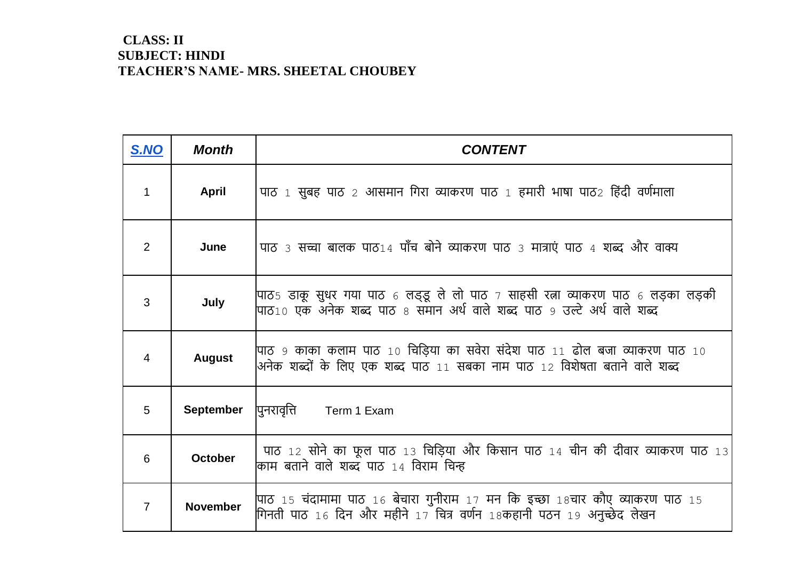#### **CLASS: II SUBJECT: HINDI TEACHER'S NAME- MRS. SHEETAL CHOUBEY**

| S.NO           | <b>Month</b>    | <b>CONTENT</b>                                                                                                                                              |
|----------------|-----------------|-------------------------------------------------------------------------------------------------------------------------------------------------------------|
| $\mathbf{1}$   | <b>April</b>    | पाठ 1 सुबह पाठ 2 आसमान गिरा व्याकरण पाठ 1 हमारी भाषा पाठ2 हिंदी वर्णमाला                                                                                    |
| 2              | June            | पाठ 3 सच्चा बालक पाठ14 पाँच बोने व्याकरण पाठ 3 मात्राएं पाठ 4 शब्द और वाक्य                                                                                 |
| 3              | July            | पाठ5 डाकू सुधर गया पाठ 6 लड्डू ले लो पाठ 7 साहसी रत्ना व्याकरण पाठ 6 लड़का लड़की<br>पाठ10 एक अनेक शब्द पाठ 8 समान अर्थ वाले शब्द पाठ 9 उल्टे अर्थ वाले शब्द |
| $\overline{4}$ | <b>August</b>   | पाठ ९ काका कलाम पाठ 10 चिड़िया का सवेरा संदेश पाठ 11 ढोल बजा व्याकरण पाठ 10<br> अनेक शब्दों के लिए एक शब्द पाठ 11 सबका नाम पाठ 12 विशेषता बताने वाले शब्द   |
| 5              | September       | पुनरावृत्ति<br>Term 1 Exam                                                                                                                                  |
| 6              | <b>October</b>  | पाठ 12 सोने का फूल पाठ 13 चिड़िया और किसान पाठ 14 चीन की दीवार व्याकरण पाठ 13<br>काम बताने वाले शब्द पाठ 14 विराम चिन्ह                                     |
| $\overline{7}$ | <b>November</b> | पाठ 15 चंदामामा पाठ 16 बेचारा गुनीराम 17 मन कि इच्छा 18चार कौए व्याकरण पाठ 15<br>गिनती पाठ 16 दिन और महीने 17 चित्र वर्णन 18कहानी पठन 19 अनुच्छेद लेखन      |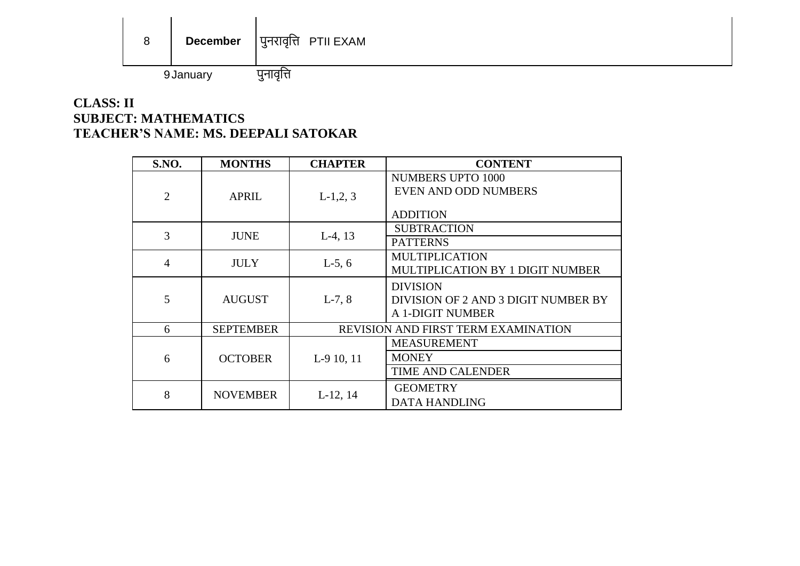| 8         | <b>December</b> | पुनरावृत्ति PTII EXAM |
|-----------|-----------------|-----------------------|
| 9 January |                 |                       |

### **CLASS: II SUBJECT: MATHEMATICS TEACHER'S NAME: MS. DEEPALI SATOKAR**

| <b>S.NO.</b>   | <b>MONTHS</b>    | <b>CHAPTER</b>                      | <b>CONTENT</b>                                                             |
|----------------|------------------|-------------------------------------|----------------------------------------------------------------------------|
| $\overline{2}$ | <b>APRIL</b>     | $L-1,2,3$                           | <b>NUMBERS UPTO 1000</b><br><b>EVEN AND ODD NUMBERS</b><br><b>ADDITION</b> |
| 3              | <b>JUNE</b>      | $L-4$ , 13                          | <b>SUBTRACTION</b><br><b>PATTERNS</b>                                      |
| $\overline{4}$ | <b>JULY</b>      | $L-5, 6$                            | <b>MULTIPLICATION</b><br>MULTIPLICATION BY 1 DIGIT NUMBER                  |
| 5              | <b>AUGUST</b>    | $L-7, 8$                            | <b>DIVISION</b><br>DIVISION OF 2 AND 3 DIGIT NUMBER BY<br>A 1-DIGIT NUMBER |
| 6              | <b>SEPTEMBER</b> | REVISION AND FIRST TERM EXAMINATION |                                                                            |
| 6              | <b>OCTOBER</b>   | L-9 10, 11                          | <b>MEASUREMENT</b><br><b>MONEY</b><br>TIME AND CALENDER                    |
| 8              | <b>NOVEMBER</b>  | $L-12, 14$                          | <b>GEOMETRY</b><br><b>DATA HANDLING</b>                                    |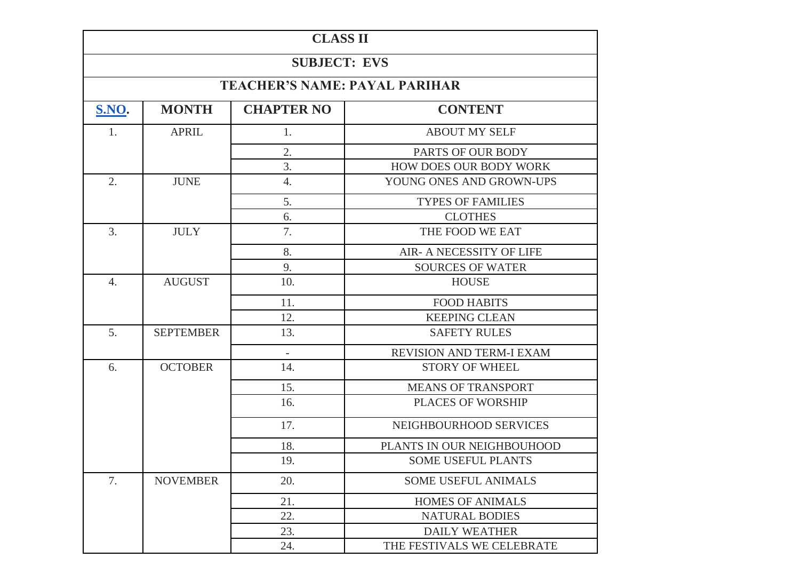| <b>CLASS II</b>  |                     |                                                                                                                                                                                                                                                                                                                                                                                                                                                                                                                                                                                                                                                                                                                               |                               |  |  |
|------------------|---------------------|-------------------------------------------------------------------------------------------------------------------------------------------------------------------------------------------------------------------------------------------------------------------------------------------------------------------------------------------------------------------------------------------------------------------------------------------------------------------------------------------------------------------------------------------------------------------------------------------------------------------------------------------------------------------------------------------------------------------------------|-------------------------------|--|--|
|                  | <b>SUBJECT: EVS</b> |                                                                                                                                                                                                                                                                                                                                                                                                                                                                                                                                                                                                                                                                                                                               |                               |  |  |
|                  |                     |                                                                                                                                                                                                                                                                                                                                                                                                                                                                                                                                                                                                                                                                                                                               |                               |  |  |
| <b>S.NO.</b>     | <b>MONTH</b>        | <b>CHAPTER NO</b>                                                                                                                                                                                                                                                                                                                                                                                                                                                                                                                                                                                                                                                                                                             | <b>CONTENT</b>                |  |  |
| 1.               | <b>APRIL</b>        | 1.                                                                                                                                                                                                                                                                                                                                                                                                                                                                                                                                                                                                                                                                                                                            | <b>ABOUT MY SELF</b>          |  |  |
|                  |                     | 2.                                                                                                                                                                                                                                                                                                                                                                                                                                                                                                                                                                                                                                                                                                                            | PARTS OF OUR BODY             |  |  |
|                  |                     | 3.                                                                                                                                                                                                                                                                                                                                                                                                                                                                                                                                                                                                                                                                                                                            | <b>HOW DOES OUR BODY WORK</b> |  |  |
| 2.               | <b>JUNE</b>         | 4.                                                                                                                                                                                                                                                                                                                                                                                                                                                                                                                                                                                                                                                                                                                            | YOUNG ONES AND GROWN-UPS      |  |  |
|                  |                     | 5.                                                                                                                                                                                                                                                                                                                                                                                                                                                                                                                                                                                                                                                                                                                            | <b>TYPES OF FAMILIES</b>      |  |  |
|                  |                     | <b>TEACHER'S NAME: PAYAL PARIHAR</b><br><b>CLOTHES</b><br>6.<br>7.<br>THE FOOD WE EAT<br>8.<br><b>AIR- A NECESSITY OF LIFE</b><br>9.<br><b>SOURCES OF WATER</b><br>10.<br><b>HOUSE</b><br>11.<br><b>FOOD HABITS</b><br>12.<br><b>KEEPING CLEAN</b><br>13.<br><b>SAFETY RULES</b><br>REVISION AND TERM-I EXAM<br>$\overline{\phantom{a}}$<br>14.<br><b>STORY OF WHEEL</b><br>15.<br><b>MEANS OF TRANSPORT</b><br>16.<br><b>PLACES OF WORSHIP</b><br>17.<br>NEIGHBOURHOOD SERVICES<br>18.<br>PLANTS IN OUR NEIGHBOUHOOD<br>SOME USEFUL PLANTS<br>19.<br>20.<br><b>SOME USEFUL ANIMALS</b><br><b>HOMES OF ANIMALS</b><br>21.<br>22.<br><b>NATURAL BODIES</b><br>23.<br><b>DAILY WEATHER</b><br>24.<br>THE FESTIVALS WE CELEBRATE |                               |  |  |
| 3.               | <b>JULY</b>         |                                                                                                                                                                                                                                                                                                                                                                                                                                                                                                                                                                                                                                                                                                                               |                               |  |  |
|                  |                     |                                                                                                                                                                                                                                                                                                                                                                                                                                                                                                                                                                                                                                                                                                                               |                               |  |  |
|                  |                     |                                                                                                                                                                                                                                                                                                                                                                                                                                                                                                                                                                                                                                                                                                                               |                               |  |  |
| $\overline{4}$ . | <b>AUGUST</b>       |                                                                                                                                                                                                                                                                                                                                                                                                                                                                                                                                                                                                                                                                                                                               |                               |  |  |
|                  |                     |                                                                                                                                                                                                                                                                                                                                                                                                                                                                                                                                                                                                                                                                                                                               |                               |  |  |
|                  |                     |                                                                                                                                                                                                                                                                                                                                                                                                                                                                                                                                                                                                                                                                                                                               |                               |  |  |
| 5.               | <b>SEPTEMBER</b>    |                                                                                                                                                                                                                                                                                                                                                                                                                                                                                                                                                                                                                                                                                                                               |                               |  |  |
|                  |                     |                                                                                                                                                                                                                                                                                                                                                                                                                                                                                                                                                                                                                                                                                                                               |                               |  |  |
| 6.               | <b>OCTOBER</b>      |                                                                                                                                                                                                                                                                                                                                                                                                                                                                                                                                                                                                                                                                                                                               |                               |  |  |
|                  |                     |                                                                                                                                                                                                                                                                                                                                                                                                                                                                                                                                                                                                                                                                                                                               |                               |  |  |
|                  |                     |                                                                                                                                                                                                                                                                                                                                                                                                                                                                                                                                                                                                                                                                                                                               |                               |  |  |
|                  |                     |                                                                                                                                                                                                                                                                                                                                                                                                                                                                                                                                                                                                                                                                                                                               |                               |  |  |
|                  |                     |                                                                                                                                                                                                                                                                                                                                                                                                                                                                                                                                                                                                                                                                                                                               |                               |  |  |
|                  |                     |                                                                                                                                                                                                                                                                                                                                                                                                                                                                                                                                                                                                                                                                                                                               |                               |  |  |
| 7.               | <b>NOVEMBER</b>     |                                                                                                                                                                                                                                                                                                                                                                                                                                                                                                                                                                                                                                                                                                                               |                               |  |  |
|                  |                     |                                                                                                                                                                                                                                                                                                                                                                                                                                                                                                                                                                                                                                                                                                                               |                               |  |  |
|                  |                     |                                                                                                                                                                                                                                                                                                                                                                                                                                                                                                                                                                                                                                                                                                                               |                               |  |  |
|                  |                     |                                                                                                                                                                                                                                                                                                                                                                                                                                                                                                                                                                                                                                                                                                                               |                               |  |  |
|                  |                     |                                                                                                                                                                                                                                                                                                                                                                                                                                                                                                                                                                                                                                                                                                                               |                               |  |  |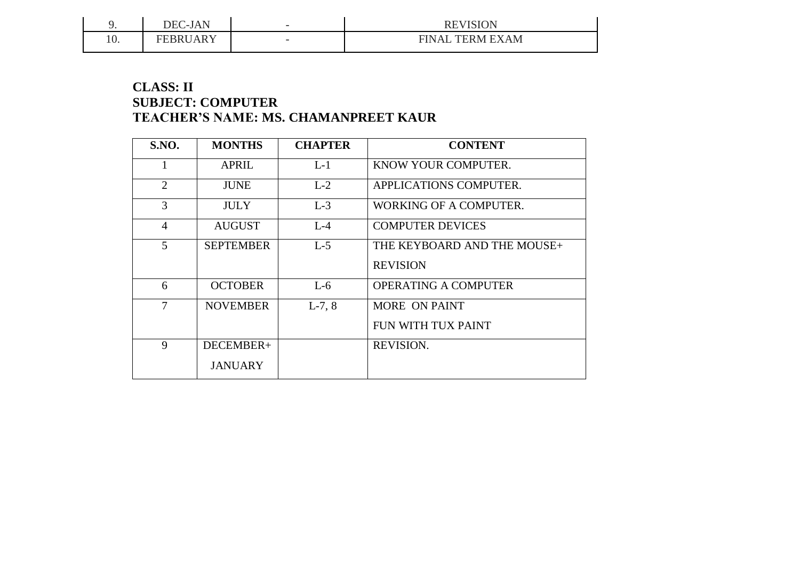|     | $-IAN$<br>DEC-<br>י בר        | $\overline{\phantom{0}}$ | <b>REVISION</b><br>KE            |
|-----|-------------------------------|--------------------------|----------------------------------|
| 10. | <b>IDDIIADV</b><br>'RDI<br>-- | $\overline{\phantom{0}}$ | <b>FINAI</b><br><b>TERM EXAM</b> |

#### **CLASS: II SUBJECT: COMPUTER TEACHER'S NAME: MS. CHAMANPREET KAUR**

| <b>S.NO.</b>   | <b>MONTHS</b>    | <b>CHAPTER</b> | <b>CONTENT</b>              |
|----------------|------------------|----------------|-----------------------------|
|                | <b>APRIL</b>     | $L-1$          | KNOW YOUR COMPUTER.         |
| $\overline{2}$ | <b>JUNE</b>      | $L-2$          | APPLICATIONS COMPUTER.      |
| 3              | <b>JULY</b>      | $L-3$          | WORKING OF A COMPUTER.      |
| $\overline{4}$ | <b>AUGUST</b>    | $L-4$          | <b>COMPUTER DEVICES</b>     |
| 5              | <b>SEPTEMBER</b> | $L-5$          | THE KEYBOARD AND THE MOUSE+ |
|                |                  |                | <b>REVISION</b>             |
| 6              | <b>OCTOBER</b>   | $L-6$          | <b>OPERATING A COMPUTER</b> |
| 7              | <b>NOVEMBER</b>  | $L-7, 8$       | <b>MORE ON PAINT</b>        |
|                |                  |                | FUN WITH TUX PAINT          |
| 9              | DECEMBER+        |                | <b>REVISION.</b>            |
|                | <b>JANUARY</b>   |                |                             |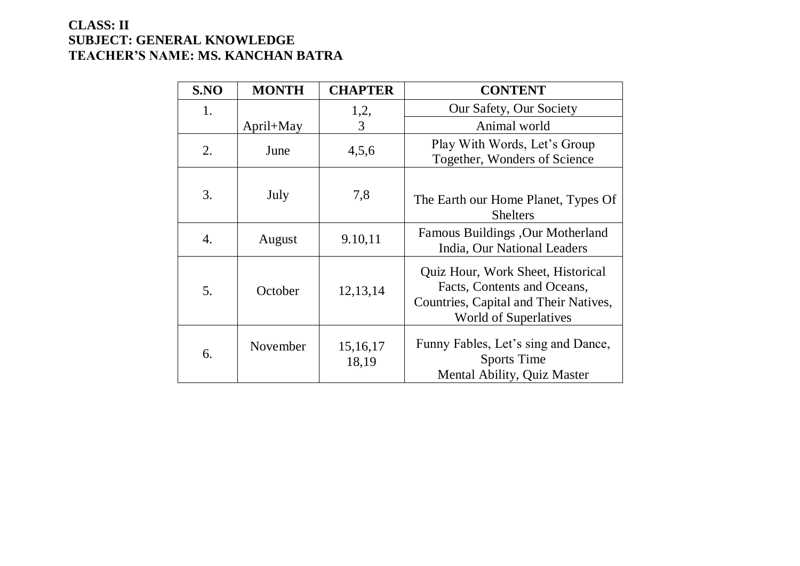### **CLASS: II SUBJECT: GENERAL KNOWLEDGE TEACHER'S NAME: MS. KANCHAN BATRA**

| S.NO | <b>MONTH</b> | <b>CHAPTER</b>      | <b>CONTENT</b>                                                                                                                     |
|------|--------------|---------------------|------------------------------------------------------------------------------------------------------------------------------------|
| 1.   |              | 1,2,                | Our Safety, Our Society                                                                                                            |
|      | April+May    | 3                   | Animal world                                                                                                                       |
| 2.   | June         | 4,5,6               | Play With Words, Let's Group<br>Together, Wonders of Science                                                                       |
| 3.   | July         | 7,8                 | The Earth our Home Planet, Types Of<br><b>Shelters</b>                                                                             |
| 4.   | August       | 9.10,11             | Famous Buildings , Our Motherland<br>India, Our National Leaders                                                                   |
| 5.   | October      | 12, 13, 14          | Quiz Hour, Work Sheet, Historical<br>Facts, Contents and Oceans,<br>Countries, Capital and Their Natives,<br>World of Superlatives |
| 6.   | November     | 15, 16, 17<br>18,19 | Funny Fables, Let's sing and Dance,<br>Sports Time<br>Mental Ability, Quiz Master                                                  |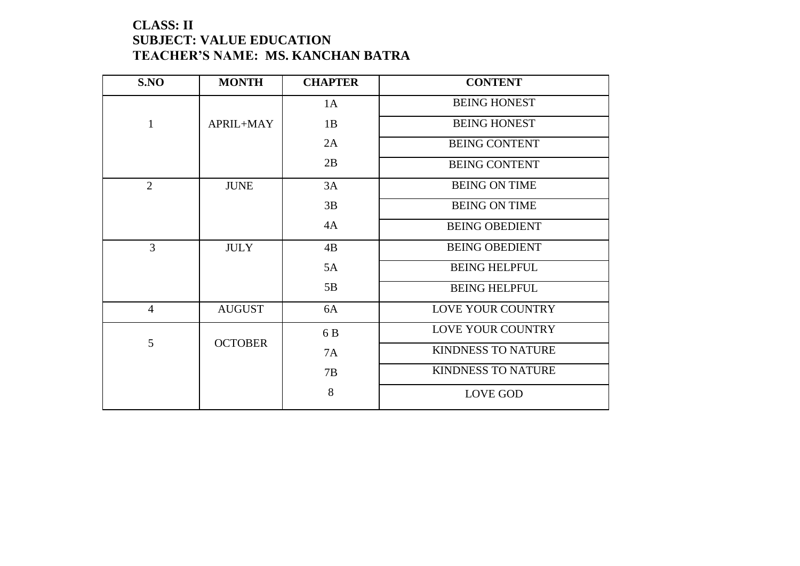## **CLASS: II SUBJECT: VALUE EDUCATION TEACHER'S NAME: MS. KANCHAN BATRA**

| S.NO           | <b>MONTH</b>   | <b>CHAPTER</b> | <b>CONTENT</b>            |
|----------------|----------------|----------------|---------------------------|
|                |                | 1A             | <b>BEING HONEST</b>       |
| 1              | APRIL+MAY      | 1B             | <b>BEING HONEST</b>       |
|                |                | 2A             | <b>BEING CONTENT</b>      |
|                |                | 2B             | <b>BEING CONTENT</b>      |
| $\overline{2}$ | <b>JUNE</b>    | 3A             | <b>BEING ON TIME</b>      |
|                |                | 3B             | <b>BEING ON TIME</b>      |
|                |                | 4A             | <b>BEING OBEDIENT</b>     |
| 3              | <b>JULY</b>    | 4B             | <b>BEING OBEDIENT</b>     |
|                |                | 5A             | <b>BEING HELPFUL</b>      |
|                |                | 5B             | <b>BEING HELPFUL</b>      |
| $\overline{4}$ | <b>AUGUST</b>  | 6A             | <b>LOVE YOUR COUNTRY</b>  |
|                |                | 6 B            | LOVE YOUR COUNTRY         |
| 5              | <b>OCTOBER</b> | 7A             | <b>KINDNESS TO NATURE</b> |
|                |                | 7B             | <b>KINDNESS TO NATURE</b> |
|                |                | 8              | <b>LOVE GOD</b>           |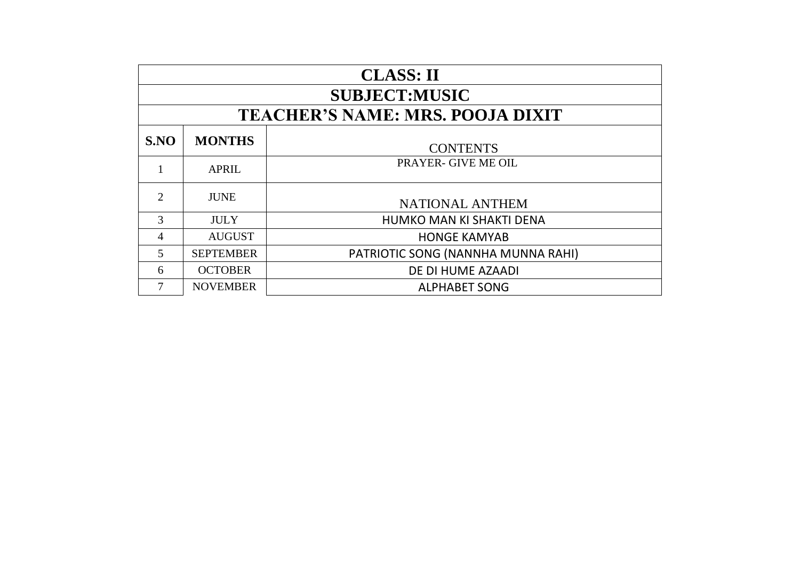| <b>CLASS: II</b>            |                                  |                                         |  |  |  |
|-----------------------------|----------------------------------|-----------------------------------------|--|--|--|
|                             | <b>SUBJECT:MUSIC</b>             |                                         |  |  |  |
|                             |                                  | <b>TEACHER'S NAME: MRS. POOJA DIXIT</b> |  |  |  |
| S.NO                        | <b>MONTHS</b><br><b>CONTENTS</b> |                                         |  |  |  |
| 1                           | <b>APRIL</b>                     | <b>PRAYER- GIVE ME OIL</b>              |  |  |  |
| $\mathcal{D}_{\mathcal{A}}$ | <b>JUNE</b>                      | <b>NATIONAL ANTHEM</b>                  |  |  |  |
| 3                           | <b>JULY</b>                      | HUMKO MAN KI SHAKTI DENA                |  |  |  |
| 4                           | <b>AUGUST</b>                    | <b>HONGE KAMYAB</b>                     |  |  |  |
| 5                           | <b>SEPTEMBER</b>                 | PATRIOTIC SONG (NANNHA MUNNA RAHI)      |  |  |  |
| 6                           | <b>OCTOBER</b>                   | DE DI HUME AZAADI                       |  |  |  |
|                             | <b>NOVEMBER</b>                  | <b>ALPHABET SONG</b>                    |  |  |  |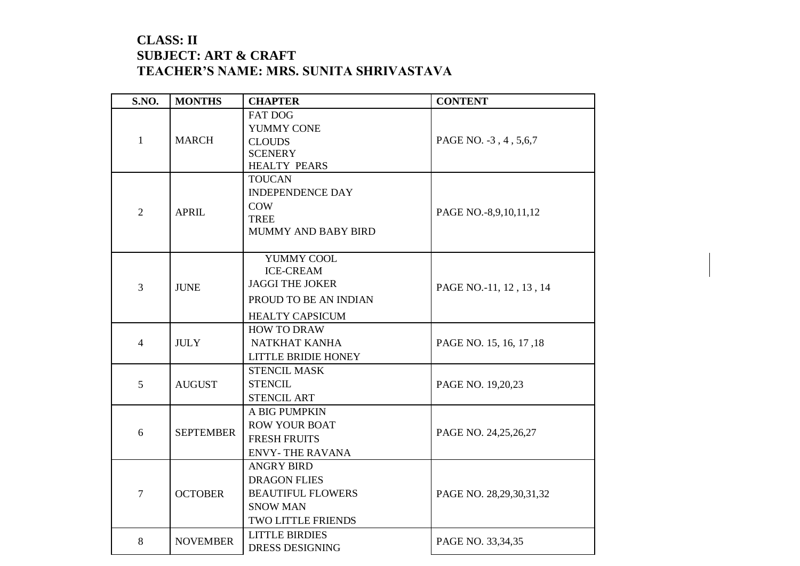### **CLASS: II SUBJECT: ART & CRAFT TEACHER'S NAME: MRS. SUNITA SHRIVASTAVA**

| <b>S.NO.</b>   | <b>MONTHS</b>    | <b>CHAPTER</b>                                                                                                | <b>CONTENT</b>          |
|----------------|------------------|---------------------------------------------------------------------------------------------------------------|-------------------------|
| $\mathbf{1}$   | <b>MARCH</b>     | <b>FAT DOG</b><br>YUMMY CONE<br><b>CLOUDS</b><br><b>SCENERY</b><br><b>HEALTY PEARS</b>                        | PAGE NO. -3, 4, 5, 6, 7 |
| $\overline{2}$ | <b>APRIL</b>     | <b>TOUCAN</b><br><b>INDEPENDENCE DAY</b><br><b>COW</b><br><b>TREE</b><br>MUMMY AND BABY BIRD                  | PAGE NO.-8,9,10,11,12   |
| $\overline{3}$ | <b>JUNE</b>      | YUMMY COOL<br><b>ICE-CREAM</b><br><b>JAGGI THE JOKER</b><br>PROUD TO BE AN INDIAN<br><b>HEALTY CAPSICUM</b>   | PAGE NO.-11, 12, 13, 14 |
| $\overline{4}$ | <b>JULY</b>      | <b>HOW TO DRAW</b><br>NATKHAT KANHA<br><b>LITTLE BRIDIE HONEY</b>                                             | PAGE NO. 15, 16, 17, 18 |
| 5              | <b>AUGUST</b>    | <b>STENCIL MASK</b><br><b>STENCIL</b><br><b>STENCIL ART</b>                                                   | PAGE NO. 19,20,23       |
| 6              | <b>SEPTEMBER</b> | A BIG PUMPKIN<br><b>ROW YOUR BOAT</b><br><b>FRESH FRUITS</b><br><b>ENVY-THE RAVANA</b>                        | PAGE NO. 24,25,26,27    |
| $\overline{7}$ | <b>OCTOBER</b>   | <b>ANGRY BIRD</b><br><b>DRAGON FLIES</b><br><b>BEAUTIFUL FLOWERS</b><br><b>SNOW MAN</b><br>TWO LITTLE FRIENDS | PAGE NO. 28,29,30,31,32 |
| 8              | <b>NOVEMBER</b>  | <b>LITTLE BIRDIES</b><br><b>DRESS DESIGNING</b>                                                               | PAGE NO. 33,34,35       |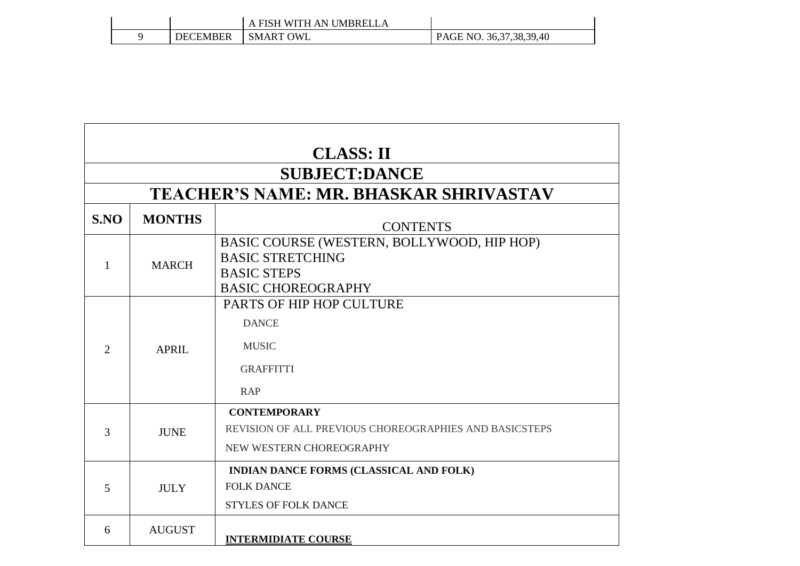|          | . FISH WITH AN UMBRELLA |                             |
|----------|-------------------------|-----------------------------|
| DECEMBER | <b>SMART OWL</b>        | PAGE NO. 36, 37, 38, 39, 40 |

| <b>CLASS: II</b>                              |               |                                                                                                                          |  |  |  |
|-----------------------------------------------|---------------|--------------------------------------------------------------------------------------------------------------------------|--|--|--|
| <b>SUBJECT:DANCE</b>                          |               |                                                                                                                          |  |  |  |
| <b>TEACHER'S NAME: MR. BHASKAR SHRIVASTAV</b> |               |                                                                                                                          |  |  |  |
| S.NO                                          | <b>MONTHS</b> | <b>CONTENTS</b>                                                                                                          |  |  |  |
| 1                                             | <b>MARCH</b>  | BASIC COURSE (WESTERN, BOLLYWOOD, HIP HOP)<br><b>BASIC STRETCHING</b><br><b>BASIC STEPS</b><br><b>BASIC CHOREOGRAPHY</b> |  |  |  |
| $\overline{2}$                                | <b>APRIL</b>  | PARTS OF HIP HOP CULTURE<br><b>DANCE</b><br><b>MUSIC</b><br><b>GRAFFITTI</b><br><b>RAP</b>                               |  |  |  |
| 3                                             | <b>JUNE</b>   | <b>CONTEMPORARY</b><br>REVISION OF ALL PREVIOUS CHOREOGRAPHIES AND BASICSTEPS<br>NEW WESTERN CHOREOGRAPHY                |  |  |  |
| 5                                             | <b>JULY</b>   | <b>INDIAN DANCE FORMS (CLASSICAL AND FOLK)</b><br><b>FOLK DANCE</b><br><b>STYLES OF FOLK DANCE</b>                       |  |  |  |
| 6                                             | <b>AUGUST</b> | <b>INTERMIDIATE COURSE</b>                                                                                               |  |  |  |